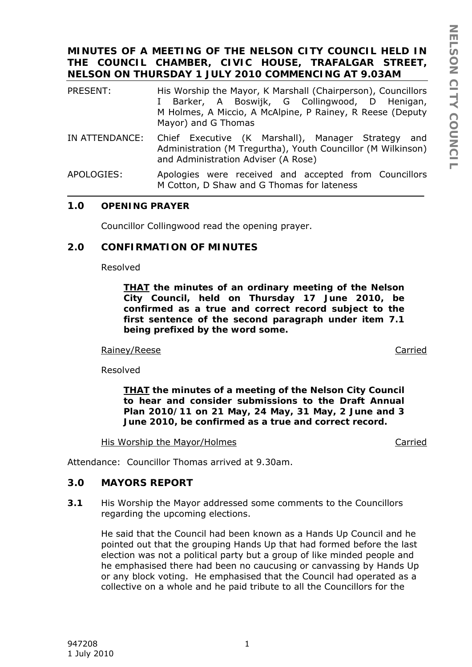### **MINUTES OF A MEETING OF THE NELSON CITY COUNCIL HELD IN THE COUNCIL CHAMBER, CIVIC HOUSE, TRAFALGAR STREET, NELSON ON THURSDAY 1 JULY 2010 COMMENCING AT 9.03AM**

| PRESENT:       | His Worship the Mayor, K Marshall (Chairperson), Councillors<br>I Barker, A Boswijk, G Collingwood, D Henigan,<br>M Holmes, A Miccio, A McAlpine, P Rainey, R Reese (Deputy<br>Mayor) and G Thomas |
|----------------|----------------------------------------------------------------------------------------------------------------------------------------------------------------------------------------------------|
| IN ATTENDANCE: | Chief Executive (K Marshall), Manager Strategy<br>and<br>Administration (M Tregurtha), Youth Councillor (M Wilkinson)<br>and Administration Adviser (A Rose)                                       |

APOLOGIES: Apologies were received and accepted from Councillors M Cotton, D Shaw and G Thomas for lateness

#### **1.0 OPENING PRAYER**

Councillor Collingwood read the opening prayer.

### **2.0 CONFIRMATION OF MINUTES**

Resolved

*THAT the minutes of an ordinary meeting of the Nelson City Council, held on Thursday 17 June 2010, be confirmed as a true and correct record subject to the first sentence of the second paragraph under item 7.1 being prefixed by the word some.* 

#### Rainey/Reese Carried

Resolved

*THAT the minutes of a meeting of the Nelson City Council to hear and consider submissions to the Draft Annual Plan 2010/11 on 21 May, 24 May, 31 May, 2 June and 3 June 2010, be confirmed as a true and correct record.* 

His Worship the Mayor/Holmes Carried

Attendance: Councillor Thomas arrived at 9.30am.

### **3.0 MAYORS REPORT**

**3.1** His Worship the Mayor addressed some comments to the Councillors regarding the upcoming elections.

He said that the Council had been known as a Hands Up Council and he pointed out that the grouping Hands Up that had formed before the last election was not a political party but a group of like minded people and he emphasised there had been no caucusing or canvassing by Hands Up or any block voting. He emphasised that the Council had operated as a collective on a whole and he paid tribute to all the Councillors for the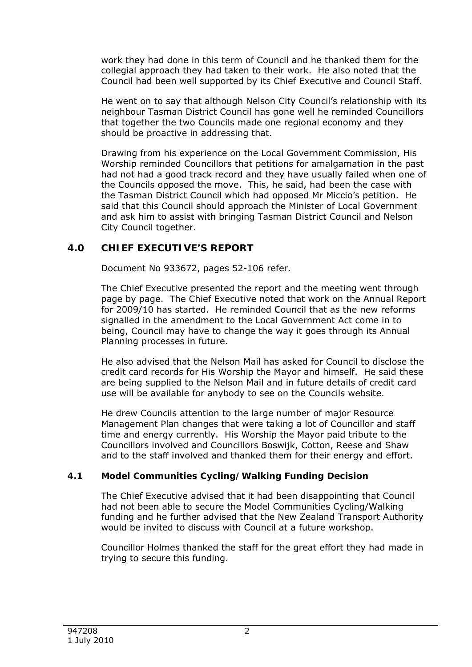work they had done in this term of Council and he thanked them for the collegial approach they had taken to their work. He also noted that the Council had been well supported by its Chief Executive and Council Staff.

He went on to say that although Nelson City Council's relationship with its neighbour Tasman District Council has gone well he reminded Councillors that together the two Councils made one regional economy and they should be proactive in addressing that.

Drawing from his experience on the Local Government Commission, His Worship reminded Councillors that petitions for amalgamation in the past had not had a good track record and they have usually failed when one of the Councils opposed the move. This, he said, had been the case with the Tasman District Council which had opposed Mr Miccio's petition. He said that this Council should approach the Minister of Local Government and ask him to assist with bringing Tasman District Council and Nelson City Council together.

# **4.0 CHIEF EXECUTIVE'S REPORT**

Document No 933672, pages 52-106 refer.

The Chief Executive presented the report and the meeting went through page by page. The Chief Executive noted that work on the Annual Report for 2009/10 has started. He reminded Council that as the new reforms signalled in the amendment to the Local Government Act come in to being, Council may have to change the way it goes through its Annual Planning processes in future.

He also advised that the Nelson Mail has asked for Council to disclose the credit card records for His Worship the Mayor and himself. He said these are being supplied to the Nelson Mail and in future details of credit card use will be available for anybody to see on the Councils website.

He drew Councils attention to the large number of major Resource Management Plan changes that were taking a lot of Councillor and staff time and energy currently. His Worship the Mayor paid tribute to the Councillors involved and Councillors Boswijk, Cotton, Reese and Shaw and to the staff involved and thanked them for their energy and effort.

## **4.1 Model Communities Cycling/Walking Funding Decision**

The Chief Executive advised that it had been disappointing that Council had not been able to secure the Model Communities Cycling/Walking funding and he further advised that the New Zealand Transport Authority would be invited to discuss with Council at a future workshop.

Councillor Holmes thanked the staff for the great effort they had made in trying to secure this funding.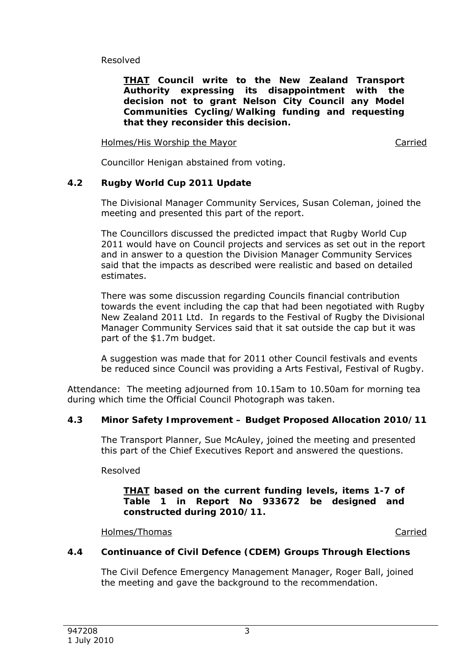Resolved

*THAT Council write to the New Zealand Transport Authority expressing its disappointment with the decision not to grant Nelson City Council any Model Communities Cycling/Walking funding and requesting that they reconsider this decision.* 

Holmes/His Worship the Mayor Carried Carried

Councillor Henigan abstained from voting.

# **4.2 Rugby World Cup 2011 Update**

The Divisional Manager Community Services, Susan Coleman, joined the meeting and presented this part of the report.

The Councillors discussed the predicted impact that Rugby World Cup 2011 would have on Council projects and services as set out in the report and in answer to a question the Division Manager Community Services said that the impacts as described were realistic and based on detailed estimates.

There was some discussion regarding Councils financial contribution towards the event including the cap that had been negotiated with Rugby New Zealand 2011 Ltd. In regards to the Festival of Rugby the Divisional Manager Community Services said that it sat outside the cap but it was part of the \$1.7m budget.

A suggestion was made that for 2011 other Council festivals and events be reduced since Council was providing a Arts Festival, Festival of Rugby.

Attendance: The meeting adjourned from 10.15am to 10.50am for morning tea during which time the Official Council Photograph was taken.

## **4.3 Minor Safety Improvement – Budget Proposed Allocation 2010/11**

The Transport Planner, Sue McAuley, joined the meeting and presented this part of the Chief Executives Report and answered the questions.

Resolved

### *THAT based on the current funding levels, items 1-7 of Table 1 in Report No 933672 be designed and constructed during 2010/11.*

Holmes/Thomas **Carried** 

## **4.4 Continuance of Civil Defence (CDEM) Groups Through Elections**

The Civil Defence Emergency Management Manager, Roger Ball, joined the meeting and gave the background to the recommendation.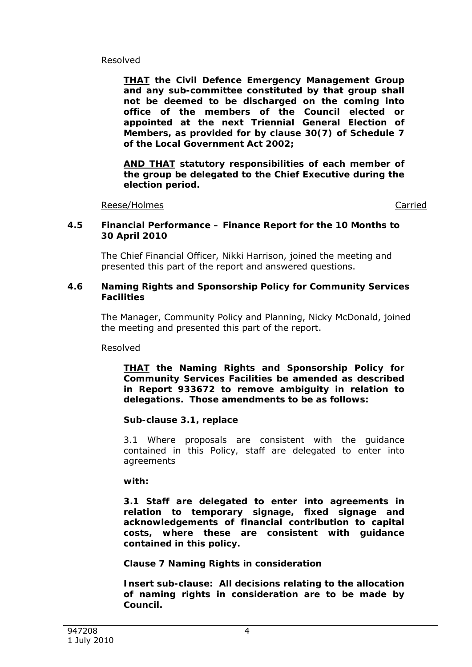### Resolved

*THAT the Civil Defence Emergency Management Group and any sub-committee constituted by that group shall not be deemed to be discharged on the coming into office of the members of the Council elected or appointed at the next Triennial General Election of Members, as provided for by clause 30(7) of Schedule 7 of the Local Government Act 2002;* 

*AND THAT statutory responsibilities of each member of the group be delegated to the Chief Executive during the election period.* 

Reese/Holmes **Carried** Carried Carried **Carried** 

#### **4.5 Financial Performance – Finance Report for the 10 Months to 30 April 2010**

The Chief Financial Officer, Nikki Harrison, joined the meeting and presented this part of the report and answered questions.

#### **4.6 Naming Rights and Sponsorship Policy for Community Services Facilities**

The Manager, Community Policy and Planning, Nicky McDonald, joined the meeting and presented this part of the report.

Resolved

*THAT the Naming Rights and Sponsorship Policy for Community Services Facilities be amended as described in Report 933672 to remove ambiguity in relation to delegations. Those amendments to be as follows:* 

### *Sub-clause 3.1, replace*

*3.1 Where proposals are consistent with the guidance contained in this Policy, staff are delegated to enter into agreements* 

*with:* 

*3.1 Staff are delegated to enter into agreements in relation to temporary signage, fixed signage and acknowledgements of financial contribution to capital costs, where these are consistent with guidance contained in this policy.* 

## *Clause 7 Naming Rights in consideration*

*Insert sub-clause: All decisions relating to the allocation of naming rights in consideration are to be made by Council.*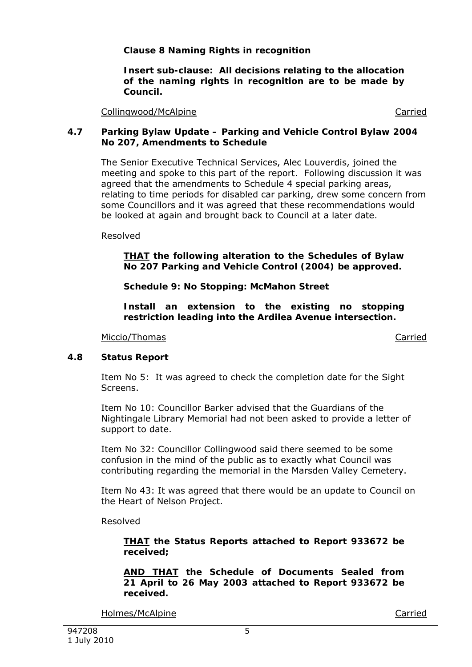## *Clause 8 Naming Rights in recognition*

*Insert sub-clause: All decisions relating to the allocation of the naming rights in recognition are to be made by Council.* 

Collingwood/McAlpine Carried

### **4.7 Parking Bylaw Update – Parking and Vehicle Control Bylaw 2004 No 207, Amendments to Schedule**

The Senior Executive Technical Services, Alec Louverdis, joined the meeting and spoke to this part of the report. Following discussion it was agreed that the amendments to Schedule 4 special parking areas, relating to time periods for disabled car parking, drew some concern from some Councillors and it was agreed that these recommendations would be looked at again and brought back to Council at a later date.

Resolved

*THAT the following alteration to the Schedules of Bylaw No 207 Parking and Vehicle Control (2004) be approved.* 

*Schedule 9: No Stopping: McMahon Street* 

*Install an extension to the existing no stopping restriction leading into the Ardilea Avenue intersection.* 

Miccio/Thomas Carried

### **4.8 Status Report**

Item No 5: It was agreed to check the completion date for the Sight Screens.

Item No 10: Councillor Barker advised that the Guardians of the Nightingale Library Memorial had not been asked to provide a letter of support to date.

Item No 32: Councillor Collingwood said there seemed to be some confusion in the mind of the public as to exactly what Council was contributing regarding the memorial in the Marsden Valley Cemetery.

Item No 43: It was agreed that there would be an update to Council on the Heart of Nelson Project.

Resolved

*THAT the Status Reports attached to Report 933672 be received;* 

*AND THAT the Schedule of Documents Sealed from 21 April to 26 May 2003 attached to Report 933672 be received.* 

Holmes/McAlpine Carried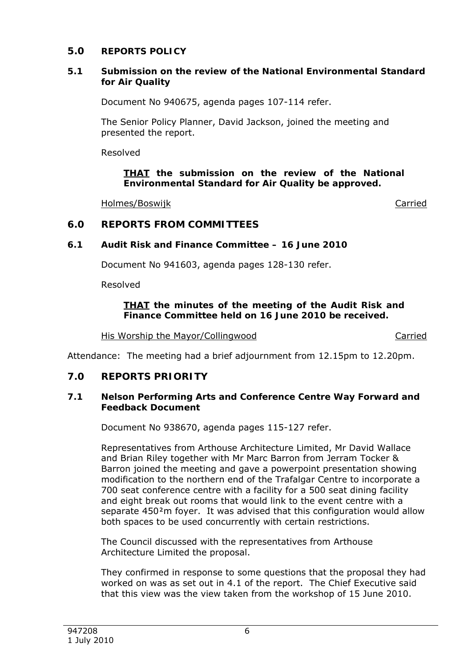# **5.0 REPORTS POLICY**

### **5.1 Submission on the review of the National Environmental Standard for Air Quality**

Document No 940675, agenda pages 107-114 refer.

The Senior Policy Planner, David Jackson, joined the meeting and presented the report.

Resolved

*THAT the submission on the review of the National Environmental Standard for Air Quality be approved.* 

Holmes/Boswijk **Carried** 

# **6.0 REPORTS FROM COMMITTEES**

## **6.1 Audit Risk and Finance Committee – 16 June 2010**

Document No 941603, agenda pages 128-130 refer.

Resolved

### *THAT the minutes of the meeting of the Audit Risk and Finance Committee held on 16 June 2010 be received.*

His Worship the Mayor/Collingwood Carried

Attendance: The meeting had a brief adjournment from 12.15pm to 12.20pm.

## **7.0 REPORTS PRIORITY**

### **7.1 Nelson Performing Arts and Conference Centre Way Forward and Feedback Document**

Document No 938670, agenda pages 115-127 refer.

Representatives from Arthouse Architecture Limited, Mr David Wallace and Brian Riley together with Mr Marc Barron from Jerram Tocker & Barron joined the meeting and gave a powerpoint presentation showing modification to the northern end of the Trafalgar Centre to incorporate a 700 seat conference centre with a facility for a 500 seat dining facility and eight break out rooms that would link to the event centre with a separate 450<sup>2</sup>m foyer. It was advised that this configuration would allow both spaces to be used concurrently with certain restrictions.

The Council discussed with the representatives from Arthouse Architecture Limited the proposal.

They confirmed in response to some questions that the proposal they had worked on was as set out in 4.1 of the report. The Chief Executive said that this view was the view taken from the workshop of 15 June 2010.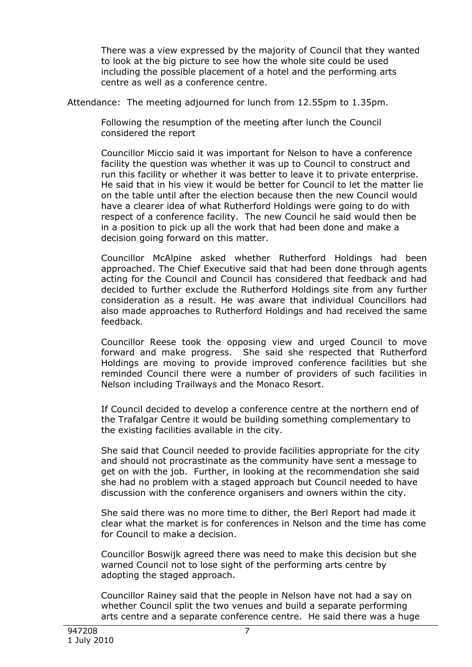There was a view expressed by the majority of Council that they wanted to look at the big picture to see how the whole site could be used including the possible placement of a hotel and the performing arts centre as well as a conference centre.

Attendance: The meeting adjourned for lunch from 12.55pm to 1.35pm.

Following the resumption of the meeting after lunch the Council considered the report

Councillor Miccio said it was important for Nelson to have a conference facility the question was whether it was up to Council to construct and run this facility or whether it was better to leave it to private enterprise. He said that in his view it would be better for Council to let the matter lie on the table until after the election because then the new Council would have a clearer idea of what Rutherford Holdings were going to do with respect of a conference facility. The new Council he said would then be in a position to pick up all the work that had been done and make a decision going forward on this matter.

Councillor McAlpine asked whether Rutherford Holdings had been approached. The Chief Executive said that had been done through agents acting for the Council and Council has considered that feedback and had decided to further exclude the Rutherford Holdings site from any further consideration as a result. He was aware that individual Councillors had also made approaches to Rutherford Holdings and had received the same feedback.

Councillor Reese took the opposing view and urged Council to move forward and make progress. She said she respected that Rutherford Holdings are moving to provide improved conference facilities but she reminded Council there were a number of providers of such facilities in Nelson including Trailways and the Monaco Resort.

If Council decided to develop a conference centre at the northern end of the Trafalgar Centre it would be building something complementary to the existing facilities available in the city.

She said that Council needed to provide facilities appropriate for the city and should not procrastinate as the community have sent a message to get on with the job. Further, in looking at the recommendation she said she had no problem with a staged approach but Council needed to have discussion with the conference organisers and owners within the city.

She said there was no more time to dither, the Berl Report had made it clear what the market is for conferences in Nelson and the time has come for Council to make a decision.

Councillor Boswijk agreed there was need to make this decision but she warned Council not to lose sight of the performing arts centre by adopting the staged approach.

Councillor Rainey said that the people in Nelson have not had a say on whether Council split the two venues and build a separate performing arts centre and a separate conference centre. He said there was a huge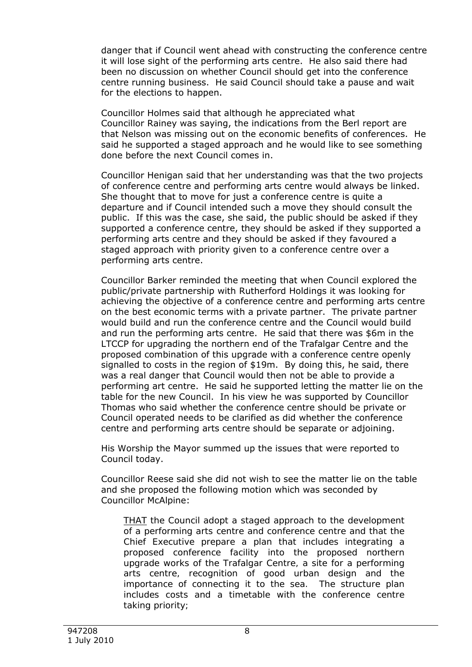danger that if Council went ahead with constructing the conference centre it will lose sight of the performing arts centre. He also said there had been no discussion on whether Council should get into the conference centre running business. He said Council should take a pause and wait for the elections to happen.

Councillor Holmes said that although he appreciated what Councillor Rainey was saying, the indications from the Berl report are that Nelson was missing out on the economic benefits of conferences. He said he supported a staged approach and he would like to see something done before the next Council comes in.

Councillor Henigan said that her understanding was that the two projects of conference centre and performing arts centre would always be linked. She thought that to move for just a conference centre is quite a departure and if Council intended such a move they should consult the public. If this was the case, she said, the public should be asked if they supported a conference centre, they should be asked if they supported a performing arts centre and they should be asked if they favoured a staged approach with priority given to a conference centre over a performing arts centre.

Councillor Barker reminded the meeting that when Council explored the public/private partnership with Rutherford Holdings it was looking for achieving the objective of a conference centre and performing arts centre on the best economic terms with a private partner. The private partner would build and run the conference centre and the Council would build and run the performing arts centre. He said that there was \$6m in the LTCCP for upgrading the northern end of the Trafalgar Centre and the proposed combination of this upgrade with a conference centre openly signalled to costs in the region of \$19m. By doing this, he said, there was a real danger that Council would then not be able to provide a performing art centre. He said he supported letting the matter lie on the table for the new Council. In his view he was supported by Councillor Thomas who said whether the conference centre should be private or Council operated needs to be clarified as did whether the conference centre and performing arts centre should be separate or adjoining.

His Worship the Mayor summed up the issues that were reported to Council today.

Councillor Reese said she did not wish to see the matter lie on the table and she proposed the following motion which was seconded by Councillor McAlpine:

*THAT the Council adopt a staged approach to the development of a performing arts centre and conference centre and that the Chief Executive prepare a plan that includes integrating a proposed conference facility into the proposed northern upgrade works of the Trafalgar Centre, a site for a performing arts centre, recognition of good urban design and the importance of connecting it to the sea. The structure plan includes costs and a timetable with the conference centre taking priority;*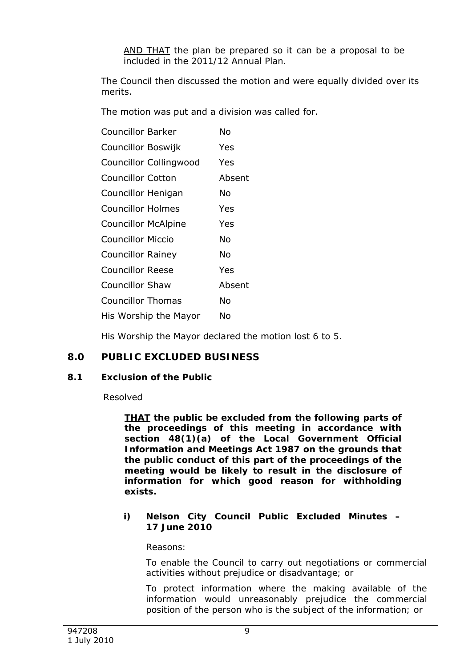*AND THAT the plan be prepared so it can be a proposal to be included in the 2011/12 Annual Plan.* 

The Council then discussed the motion and were equally divided over its merits.

The motion was put and a division was called for.

| <b>Councillor Barker</b>      | N٥     |
|-------------------------------|--------|
| Councillor Boswijk            | Yes    |
| <b>Councillor Collingwood</b> | Yes    |
| Councillor Cotton             | Absent |
| Councillor Henigan            | N٥     |
| Councillor Holmes             | Yes    |
| <b>Councillor McAlpine</b>    | Yes    |
| Councillor Miccio             | N٥     |
| <b>Councillor Rainey</b>      | N٥     |
| <b>Councillor Reese</b>       | Yes    |
| <b>Councillor Shaw</b>        | Absent |
| <b>Councillor Thomas</b>      | N٥     |
| His Worship the Mayor         | N٥     |

His Worship the Mayor declared the motion lost 6 to 5.

# **8.0 PUBLIC EXCLUDED BUSINESS**

## **8.1 Exclusion of the Public**

Resolved

*THAT the public be excluded from the following parts of the proceedings of this meeting in accordance with section 48(1)(a) of the Local Government Official Information and Meetings Act 1987 on the grounds that the public conduct of this part of the proceedings of the meeting would be likely to result in the disclosure of information for which good reason for withholding exists.* 

### *i) Nelson City Council Public Excluded Minutes – 17 June 2010*

*Reasons:* 

*To enable the Council to carry out negotiations or commercial activities without prejudice or disadvantage; or* 

*To protect information where the making available of the information would unreasonably prejudice the commercial position of the person who is the subject of the information; or*